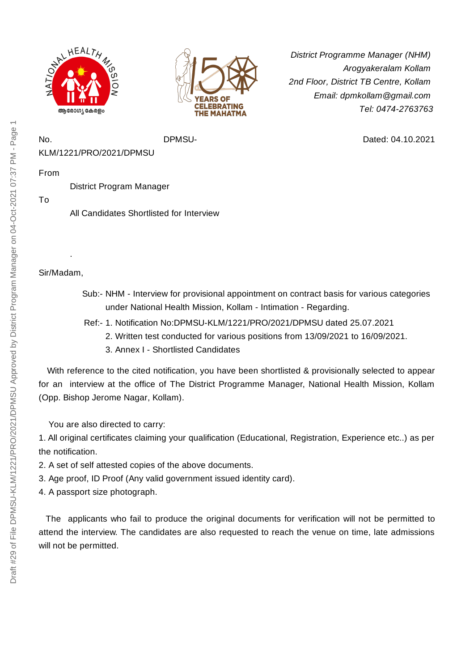



*District Programme Manager (NHM) Arogyakeralam Kollam 2nd Floor, District TB Centre, Kollam Email: dpmkollam@gmail.com Tel: 0474-2763763*

Dated: 04.10.2021

No. DPMSU-KLM/1221/PRO/2021/DPMSU

From

District Program Manager

To

All Candidates Shortlisted for Interview

Sir/Madam,

.

- Sub:- NHM Interview for provisional appointment on contract basis for various categories under National Health Mission, Kollam - Intimation - Regarding.
- Ref:- 1. Notification No:DPMSU-KLM/1221/PRO/2021/DPMSU dated 25.07.2021
	- 2. Written test conducted for various positions from 13/09/2021 to 16/09/2021.
	- 3. Annex I Shortlisted Candidates

With reference to the cited notification, you have been shortlisted & provisionally selected to appear for an interview at the office of The District Programme Manager, National Health Mission, Kollam (Opp. Bishop Jerome Nagar, Kollam).

You are also directed to carry:

1. All original certificates claiming your qualification (Educational, Registration, Experience etc..) as per the notification.

- 2. A set of self attested copies of the above documents.
- 3. Age proof, ID Proof (Any valid government issued identity card).
- 4. A passport size photograph.

The applicants who fail to produce the original documents for verification will not be permitted to attend the interview. The candidates are also requested to reach the venue on time, late admissions will not be permitted.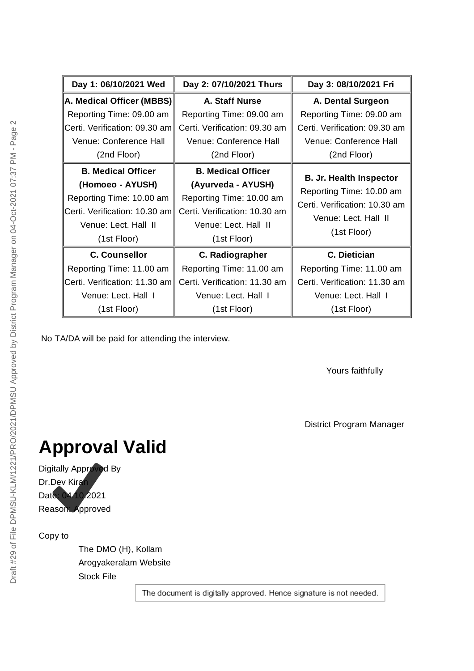| Day 1: 06/10/2021 Wed         | Day 2: 07/10/2021 Thurs       | Day 3: 08/10/2021 Fri                                     |
|-------------------------------|-------------------------------|-----------------------------------------------------------|
| A. Medical Officer (MBBS)     | A. Staff Nurse                | A. Dental Surgeon                                         |
| Reporting Time: 09.00 am      | Reporting Time: 09.00 am      | Reporting Time: 09.00 am                                  |
| Certi. Verification: 09.30 am | Certi. Verification: 09.30 am | Certi. Verification: 09.30 am                             |
| Venue: Conference Hall        | Venue: Conference Hall        | Venue: Conference Hall                                    |
| (2nd Floor)                   | (2nd Floor)                   | (2nd Floor)                                               |
| <b>B. Medical Officer</b>     | <b>B. Medical Officer</b>     |                                                           |
| (Homoeo - AYUSH)              | (Ayurveda - AYUSH)            | <b>B. Jr. Health Inspector</b>                            |
| Reporting Time: 10.00 am      | Reporting Time: 10.00 am      | Reporting Time: 10.00 am<br>Certi. Verification: 10.30 am |
| Certi. Verification: 10.30 am | Certi. Verification: 10.30 am |                                                           |
| Venue: Lect. Hall II          | Venue: Lect. Hall II          | Venue: Lect. Hall II                                      |
| (1st Floor)                   | (1st Floor)                   | (1st Floor)                                               |
| <b>C. Counsellor</b>          | C. Radiographer               | C. Dietician                                              |
| Reporting Time: 11.00 am      | Reporting Time: 11.00 am      | Reporting Time: 11.00 am                                  |
| Certi. Verification: 11.30 am | Certi. Verification: 11.30 am | Certi. Verification: 11.30 am                             |
| Venue: Lect. Hall I           | Venue: Lect. Hall I           | Venue: Lect. Hall I                                       |
| (1st Floor)                   | (1st Floor)                   | (1st Floor)                                               |

No TA/DA will be paid for attending the interview.

Yours faithfully

District Program Manager

## **Approval Valid**

Digitally Approved By Dr.Dev Kiran Date: 04.10.2021 Reason: Approved

Copy to

The DMO (H), Kollam Arogyakeralam Website Stock File

The document is digitally approved. Hence signature is not needed.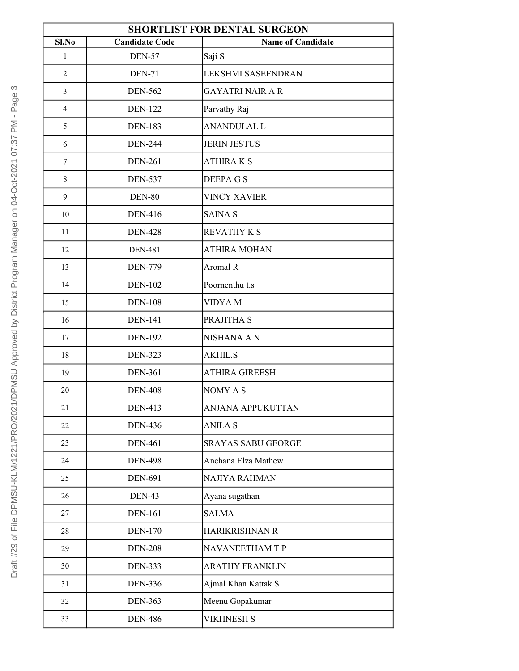| <b>SHORTLIST FOR DENTAL SURGEON</b> |                       |                           |  |
|-------------------------------------|-----------------------|---------------------------|--|
| Sl.No                               | <b>Candidate Code</b> | <b>Name of Candidate</b>  |  |
| $\mathbf{1}$                        | <b>DEN-57</b>         | Saji S                    |  |
| $\overline{2}$                      | <b>DEN-71</b>         | <b>LEKSHMI SASEENDRAN</b> |  |
| $\overline{3}$                      | <b>DEN-562</b>        | <b>GAYATRI NAIR A R</b>   |  |
| $\overline{4}$                      | <b>DEN-122</b>        | Parvathy Raj              |  |
| 5                                   | <b>DEN-183</b>        | <b>ANANDULAL L</b>        |  |
| 6                                   | <b>DEN-244</b>        | <b>JERIN JESTUS</b>       |  |
| 7                                   | <b>DEN-261</b>        | <b>ATHIRAKS</b>           |  |
| 8                                   | <b>DEN-537</b>        | <b>DEEPAGS</b>            |  |
| 9                                   | <b>DEN-80</b>         | <b>VINCY XAVIER</b>       |  |
| 10                                  | <b>DEN-416</b>        | <b>SAINA S</b>            |  |
| 11                                  | <b>DEN-428</b>        | <b>REVATHY K S</b>        |  |
| 12                                  | <b>DEN-481</b>        | <b>ATHIRA MOHAN</b>       |  |
| 13                                  | <b>DEN-779</b>        | Aromal R                  |  |
| 14                                  | <b>DEN-102</b>        | Poornenthu t.s            |  |
| 15                                  | <b>DEN-108</b>        | <b>VIDYAM</b>             |  |
| 16                                  | <b>DEN-141</b>        | PRAJITHA S                |  |
| 17                                  | <b>DEN-192</b>        | <b>NISHANA A N</b>        |  |
| 18                                  | <b>DEN-323</b>        | <b>AKHIL.S</b>            |  |
| 19                                  | <b>DEN-361</b>        | <b>ATHIRA GIREESH</b>     |  |
| 20                                  | <b>DEN-408</b>        | NOMY A S                  |  |
| 21                                  | <b>DEN-413</b>        | <b>ANJANA APPUKUTTAN</b>  |  |
| 22                                  | <b>DEN-436</b>        | <b>ANILA S</b>            |  |
| 23                                  | <b>DEN-461</b>        | <b>SRAYAS SABU GEORGE</b> |  |
| 24                                  | <b>DEN-498</b>        | Anchana Elza Mathew       |  |
| 25                                  | <b>DEN-691</b>        | NAJIYA RAHMAN             |  |
| 26                                  | <b>DEN-43</b>         | Ayana sugathan            |  |
| 27                                  | <b>DEN-161</b>        | <b>SALMA</b>              |  |
| 28                                  | <b>DEN-170</b>        | HARIKRISHNAN R            |  |
| 29                                  | <b>DEN-208</b>        | <b>NAVANEETHAM T P</b>    |  |
| 30                                  | <b>DEN-333</b>        | <b>ARATHY FRANKLIN</b>    |  |
| 31                                  | <b>DEN-336</b>        | Ajmal Khan Kattak S       |  |
| 32                                  | <b>DEN-363</b>        | Meenu Gopakumar           |  |
| 33                                  | <b>DEN-486</b>        | <b>VIKHNESH S</b>         |  |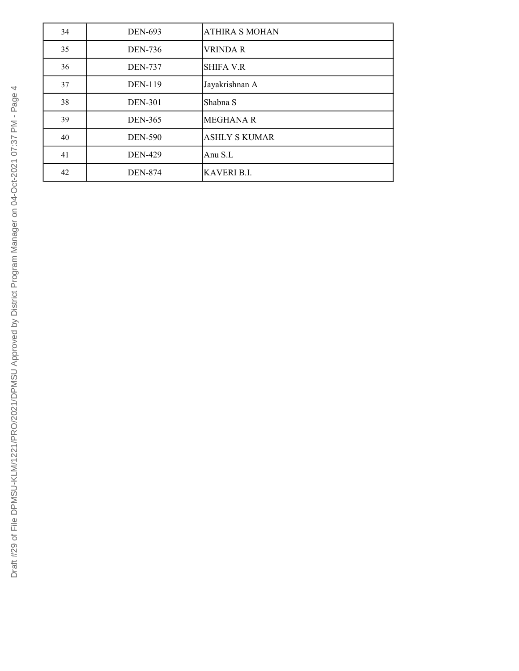| 34 | <b>DEN-693</b> | <b>ATHIRA S MOHAN</b> |
|----|----------------|-----------------------|
| 35 | <b>DEN-736</b> | <b>VRINDA R</b>       |
| 36 | <b>DEN-737</b> | <b>SHIFA V.R</b>      |
| 37 | <b>DEN-119</b> | Jayakrishnan A        |
| 38 | <b>DEN-301</b> | Shabna S              |
| 39 | <b>DEN-365</b> | <b>MEGHANA R</b>      |
| 40 | <b>DEN-590</b> | <b>ASHLY S KUMAR</b>  |
| 41 | <b>DEN-429</b> | Anu $S.L$             |
| 42 | <b>DEN-874</b> | <b>KAVERI B.I.</b>    |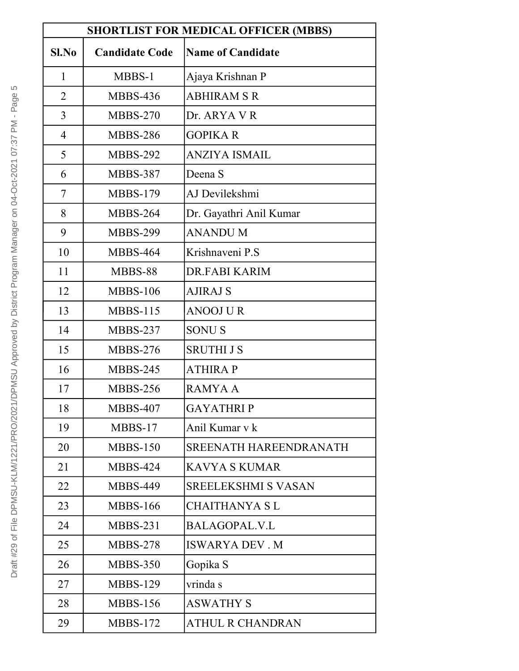| <b>SHORTLIST FOR MEDICAL OFFICER (MBBS)</b> |                       |                            |
|---------------------------------------------|-----------------------|----------------------------|
| Sl.No                                       | <b>Candidate Code</b> | <b>Name of Candidate</b>   |
| $\mathbf{1}$                                | MBBS-1                | Ajaya Krishnan P           |
| $\overline{2}$                              | <b>MBBS-436</b>       | <b>ABHIRAM S R</b>         |
| $\overline{3}$                              | <b>MBBS-270</b>       | Dr. ARYA V R               |
| 4                                           | <b>MBBS-286</b>       | <b>GOPIKAR</b>             |
| 5                                           | <b>MBBS-292</b>       | ANZIYA ISMAIL              |
| 6                                           | <b>MBBS-387</b>       | Deena S                    |
| 7                                           | <b>MBBS-179</b>       | AJ Devilekshmi             |
| 8                                           | <b>MBBS-264</b>       | Dr. Gayathri Anil Kumar    |
| 9                                           | <b>MBBS-299</b>       | <b>ANANDUM</b>             |
| 10                                          | <b>MBBS-464</b>       | Krishnaveni P.S            |
| 11                                          | MBBS-88               | DR.FABI KARIM              |
| 12                                          | <b>MBBS-106</b>       | AJIRAJ S                   |
| 13                                          | $MBBS-115$            | ANOOJ U R                  |
| 14                                          | <b>MBBS-237</b>       | <b>SONUS</b>               |
| 15                                          | <b>MBBS-276</b>       | <b>SRUTHI J S</b>          |
| 16                                          | <b>MBBS-245</b>       | <b>ATHIRA P</b>            |
| 17                                          | <b>MBBS-256</b>       | RAMYA A                    |
| 18                                          | <b>MBBS-407</b>       | <b>GAYATHRIP</b>           |
| 19                                          | MBBS-17               | Anil Kumar v k             |
| 20                                          | <b>MBBS-150</b>       | SREENATH HAREENDRANATH     |
| 21                                          | <b>MBBS-424</b>       | KAVYA S KUMAR              |
| 22                                          | <b>MBBS-449</b>       | <b>SREELEKSHMI S VASAN</b> |
| 23                                          | <b>MBBS-166</b>       | <b>CHAITHANYA SL</b>       |
| 24                                          | $MBBS-231$            | BALAGOPAL.V.L              |
| 25                                          | <b>MBBS-278</b>       | <b>ISWARYA DEV. M</b>      |
| 26                                          | <b>MBBS-350</b>       | Gopika S                   |
| 27                                          | <b>MBBS-129</b>       | vrinda s                   |
| 28                                          | <b>MBBS-156</b>       | <b>ASWATHY S</b>           |
| 29                                          | <b>MBBS-172</b>       | ATHUL R CHANDRAN           |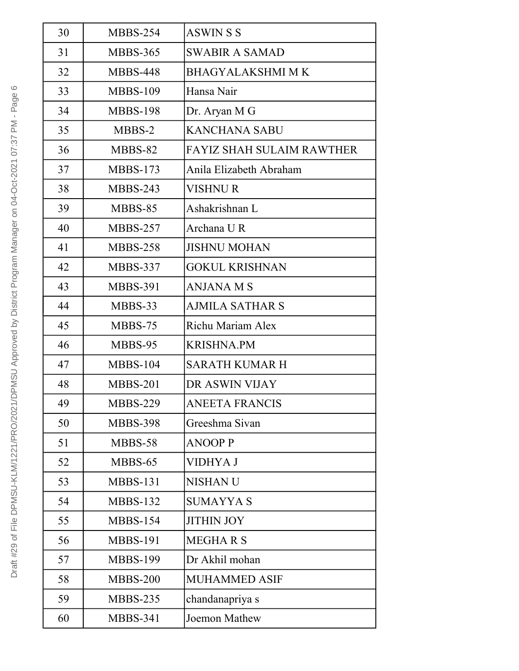| 30 | <b>MBBS-254</b> | <b>ASWINSS</b>                   |
|----|-----------------|----------------------------------|
| 31 | <b>MBBS-365</b> | <b>SWABIR A SAMAD</b>            |
| 32 | <b>MBBS-448</b> | <b>BHAGYALAKSHMI M K</b>         |
| 33 | <b>MBBS-109</b> | Hansa Nair                       |
| 34 | <b>MBBS-198</b> | Dr. Aryan M G                    |
| 35 | MBBS-2          | <b>KANCHANA SABU</b>             |
| 36 | MBBS-82         | <b>FAYIZ SHAH SULAIM RAWTHER</b> |
| 37 | <b>MBBS-173</b> | Anila Elizabeth Abraham          |
| 38 | <b>MBBS-243</b> | <b>VISHNUR</b>                   |
| 39 | MBBS-85         | Ashakrishnan L                   |
| 40 | <b>MBBS-257</b> | Archana UR                       |
| 41 | <b>MBBS-258</b> | <b>JISHNU MOHAN</b>              |
| 42 | <b>MBBS-337</b> | <b>GOKUL KRISHNAN</b>            |
| 43 | <b>MBBS-391</b> | <b>ANJANA M S</b>                |
| 44 | MBBS-33         | <b>AJMILA SATHAR S</b>           |
| 45 | MBBS-75         | Richu Mariam Alex                |
| 46 | MBBS-95         | <b>KRISHNA.PM</b>                |
| 47 | <b>MBBS-104</b> | <b>SARATH KUMAR H</b>            |
| 48 | <b>MBBS-201</b> | DR ASWIN VIJAY                   |
| 49 | <b>MBBS-229</b> | <b>ANEETA FRANCIS</b>            |
| 50 | <b>MBBS-398</b> | Greeshma Sivan                   |
| 51 | MBBS-58         | <b>ANOOP P</b>                   |
| 52 | MBBS-65         | VIDHYA J                         |
| 53 | <b>MBBS-131</b> | <b>NISHANU</b>                   |
| 54 | <b>MBBS-132</b> | <b>SUMAYYA S</b>                 |
| 55 | <b>MBBS-154</b> | <b>JITHIN JOY</b>                |
| 56 | <b>MBBS-191</b> | <b>MEGHARS</b>                   |
| 57 | <b>MBBS-199</b> | Dr Akhil mohan                   |
| 58 | <b>MBBS-200</b> | <b>MUHAMMED ASIF</b>             |
| 59 | <b>MBBS-235</b> | chandanapriya s                  |
| 60 | <b>MBBS-341</b> | Joemon Mathew                    |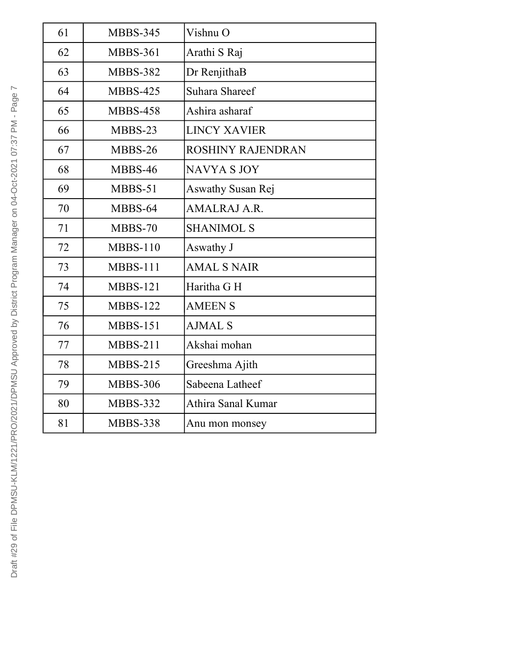| 61 | <b>MBBS-345</b> | Vishnu O            |
|----|-----------------|---------------------|
| 62 | <b>MBBS-361</b> | Arathi S Raj        |
| 63 | <b>MBBS-382</b> | Dr RenjithaB        |
| 64 | <b>MBBS-425</b> | Suhara Shareef      |
| 65 | <b>MBBS-458</b> | Ashira asharaf      |
| 66 | MBBS-23         | <b>LINCY XAVIER</b> |
| 67 | MBBS-26         | ROSHINY RAJENDRAN   |
| 68 | MBBS-46         | <b>NAVYA S JOY</b>  |
| 69 | MBBS-51         | Aswathy Susan Rej   |
| 70 | MBBS-64         | AMALRAJ A.R.        |
| 71 | MBBS-70         | <b>SHANIMOL S</b>   |
| 72 | $MBBS-110$      | Aswathy J           |
| 73 | $MBBS-111$      | <b>AMAL S NAIR</b>  |
| 74 | <b>MBBS-121</b> | Haritha G H         |
| 75 | <b>MBBS-122</b> | <b>AMEEN S</b>      |
| 76 | $MBBS-151$      | <b>AJMAL S</b>      |
| 77 | $MBBS-211$      | Akshai mohan        |
| 78 | $MBBS-215$      | Greeshma Ajith      |
| 79 | <b>MBBS-306</b> | Sabeena Latheef     |
| 80 | <b>MBBS-332</b> | Athira Sanal Kumar  |
| 81 | <b>MBBS-338</b> | Anu mon monsey      |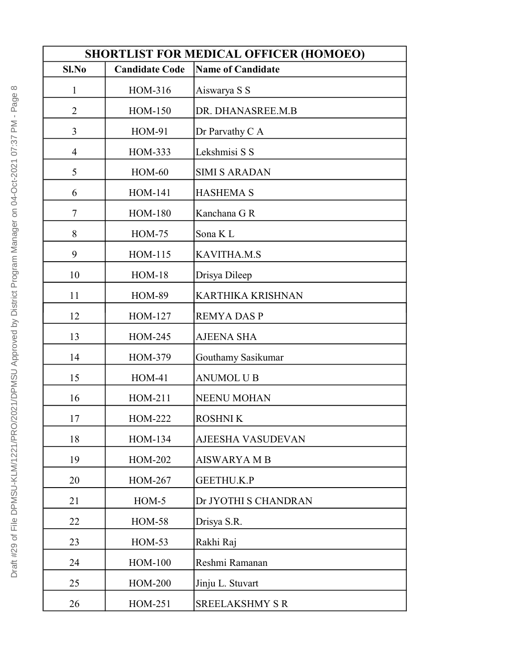| <b>SHORTLIST FOR MEDICAL OFFICER (HOMOEO)</b> |                       |                          |
|-----------------------------------------------|-----------------------|--------------------------|
| Sl.No                                         | <b>Candidate Code</b> | <b>Name of Candidate</b> |
| $\mathbf{1}$                                  | HOM-316               | Aiswarya S S             |
| $\overline{2}$                                | HOM-150               | DR. DHANASREE.M.B        |
| $\overline{3}$                                | <b>HOM-91</b>         | Dr Parvathy C A          |
| $\overline{4}$                                | HOM-333               | Lekshmisi S S            |
| 5                                             | $HOM-60$              | <b>SIMI S ARADAN</b>     |
| 6                                             | <b>HOM-141</b>        | <b>HASHEMA S</b>         |
| 7                                             | <b>HOM-180</b>        | Kanchana G R             |
| 8                                             | $HOM-75$              | Sona K L                 |
| 9                                             | HOM-115               | <b>KAVITHA.M.S</b>       |
| 10                                            | $HOM-18$              | Drisya Dileep            |
| 11                                            | <b>HOM-89</b>         | <b>KARTHIKA KRISHNAN</b> |
| 12                                            | HOM-127               | <b>REMYA DAS P</b>       |
| 13                                            | HOM-245               | <b>AJEENA SHA</b>        |
| 14                                            | HOM-379               | Gouthamy Sasikumar       |
| 15                                            | <b>HOM-41</b>         | <b>ANUMOL U B</b>        |
| 16                                            | HOM-211               | <b>NEENU MOHAN</b>       |
| 17                                            | <b>HOM-222</b>        | <b>ROSHNIK</b>           |
| 18                                            | HOM-134               | AJEESHA VASUDEVAN        |
| 19                                            | HOM-202               | <b>AISWARYA M B</b>      |
| 20                                            | <b>HOM-267</b>        | <b>GEETHU.K.P</b>        |
| 21                                            | $HOM-5$               | Dr JYOTHI S CHANDRAN     |
| 22                                            | <b>HOM-58</b>         | Drisya S.R.              |
| 23                                            | $HOM-53$              | Rakhi Raj                |
| 24                                            | <b>HOM-100</b>        | Reshmi Ramanan           |
| 25                                            | <b>HOM-200</b>        | Jinju L. Stuvart         |
| 26                                            | HOM-251               | <b>SREELAKSHMY S R</b>   |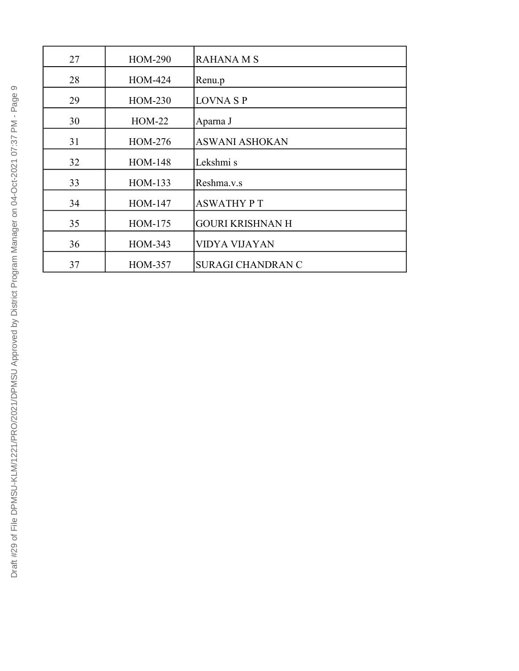| 27 | <b>HOM-290</b> | <b>RAHANA M S</b>        |
|----|----------------|--------------------------|
| 28 | HOM-424        | Renu.p                   |
| 29 | HOM-230        | <b>LOVNA S P</b>         |
| 30 | $HOM-22$       | Aparna J                 |
| 31 | HOM-276        | <b>ASWANI ASHOKAN</b>    |
| 32 | <b>HOM-148</b> | Lekshmi s                |
| 33 | HOM-133        | Reshma.v.s               |
| 34 | <b>HOM-147</b> | <b>ASWATHY PT</b>        |
| 35 | HOM-175        | <b>GOURI KRISHNAN H</b>  |
| 36 | HOM-343        | VIDYA VIJAYAN            |
| 37 | <b>HOM-357</b> | <b>SURAGI CHANDRAN C</b> |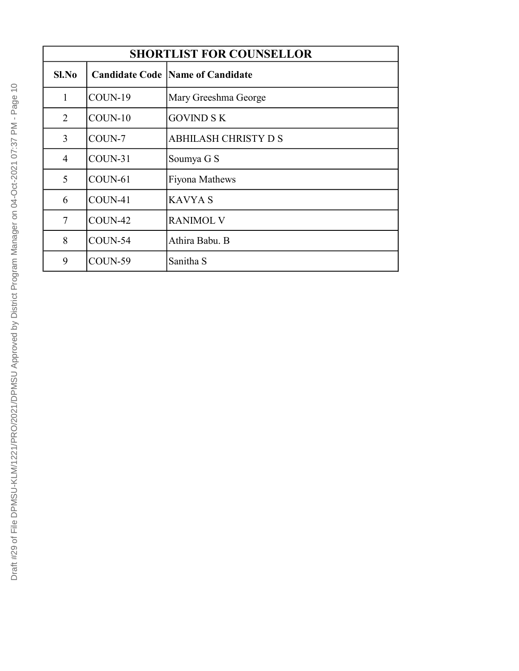| <b>SHORTLIST FOR COUNSELLOR</b> |           |                                          |
|---------------------------------|-----------|------------------------------------------|
| $SL$ No                         |           | <b>Candidate Code  Name of Candidate</b> |
| 1                               | $COUN-19$ | Mary Greeshma George                     |
| 2                               | $COUN-10$ | <b>GOVIND S K</b>                        |
| 3                               | COUN-7    | ABHILASH CHRISTY D S                     |
| 4                               | $COUN-31$ | Soumya G S                               |
| 5                               | $COUN-61$ | Fiyona Mathews                           |
| 6                               | $COUN-41$ | <b>KAVYA S</b>                           |
| 7                               | COUN-42   | <b>RANIMOL V</b>                         |
| 8                               | $COUN-54$ | Athira Babu. B                           |
| 9                               | $COUN-59$ | Sanitha S                                |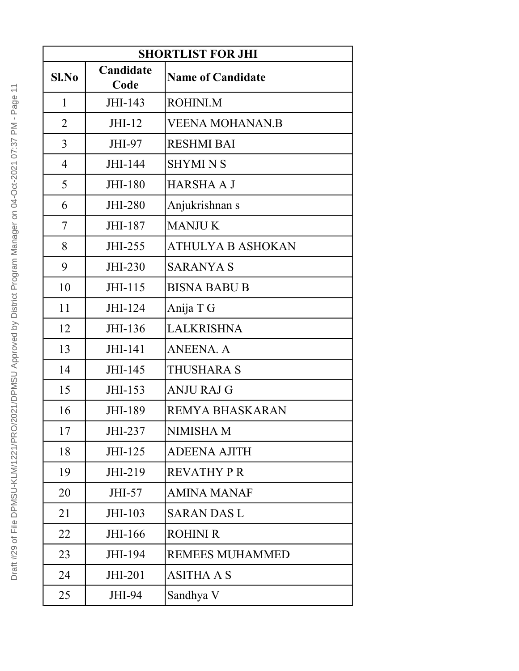| <b>SHORTLIST FOR JHI</b> |                   |                          |
|--------------------------|-------------------|--------------------------|
| $Sl$ . No                | Candidate<br>Code | <b>Name of Candidate</b> |
| $\mathbf{1}$             | JHI-143           | ROHINI.M                 |
| $\overline{2}$           | $JHI-12$          | <b>VEENA MOHANAN.B</b>   |
| 3                        | JHI-97            | <b>RESHMI BAI</b>        |
| $\overline{4}$           | JHI-144           | <b>SHYMI N S</b>         |
| 5                        | JHI-180           | <b>HARSHA A J</b>        |
| 6                        | <b>JHI-280</b>    | Anjukrishnan s           |
| 7                        | JHI-187           | <b>MANJUK</b>            |
| 8                        | JHI-255           | <b>ATHULYA B ASHOKAN</b> |
| 9                        | JHI-230           | <b>SARANYA S</b>         |
| 10                       | JHI-115           | <b>BISNA BABU B</b>      |
| 11                       | JHI-124           | Anija T G                |
| 12                       | JHI-136           | <b>LALKRISHNA</b>        |
| 13                       | JHI-141           | <b>ANEENA. A</b>         |
| 14                       | JHI-145           | <b>THUSHARA S</b>        |
| 15                       | JHI-153           | <b>ANJU RAJ G</b>        |
| 16                       | JHI-189           | REMYA BHASKARAN          |
| 17                       | JHI-237           | <b>NIMISHA M</b>         |
| 18                       | JHI-125           | <b>ADEENA AJITH</b>      |
| 19                       | JHI-219           | <b>REVATHY P R</b>       |
| 20                       | JHI-57            | <b>AMINA MANAF</b>       |
| 21                       | JHI-103           | <b>SARAN DAS L</b>       |
| 22                       | JHI-166           | <b>ROHINI R</b>          |
| 23                       | JHI-194           | <b>REMEES MUHAMMED</b>   |
| 24                       | JHI-201           | <b>ASITHA A S</b>        |
| 25                       | JHI-94            | Sandhya V                |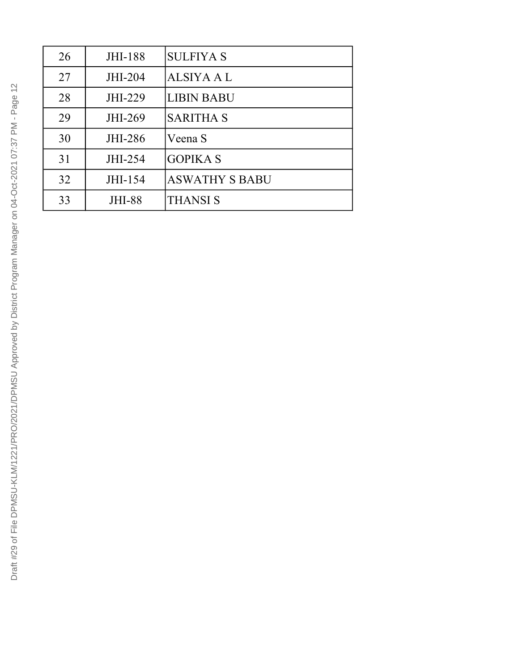| 26 | <b>JHI-188</b> | <b>SULFIYA S</b>      |
|----|----------------|-----------------------|
| 27 | JHI-204        | <b>ALSIYA A L</b>     |
| 28 | JHI-229        | <b>LIBIN BABU</b>     |
| 29 | JHI-269        | <b>SARITHA S</b>      |
| 30 | JHI-286        | Veena S               |
| 31 | JHI-254        | <b>GOPIKA S</b>       |
| 32 | JHI-154        | <b>ASWATHY S BABU</b> |
| 33 | <b>JHI-88</b>  | <b>THANSI S</b>       |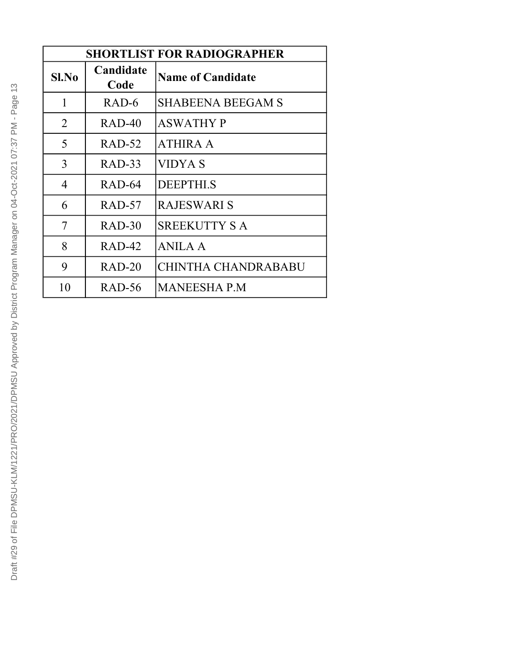| <b>SHORTLIST FOR RADIOGRAPHER</b> |                   |                          |
|-----------------------------------|-------------------|--------------------------|
| $Sl$ . No                         | Candidate<br>Code | <b>Name of Candidate</b> |
| 1                                 | RAD-6             | <b>SHABEENA BEEGAM S</b> |
| 2                                 | $RAD-40$          | <b>ASWATHY P</b>         |
| 5                                 | $RAD-52$          | <b>ATHIRA A</b>          |
| 3                                 | $RAD-33$          | VIDYA S                  |
| 4                                 | RAD-64            | <b>DEEPTHI.S</b>         |
| 6                                 | $RAD-57$          | RAJESWARI S              |
| 7                                 | $RAD-30$          | <b>SREEKUTTY S A</b>     |
| 8                                 | $RAD-42$          | <b>ANILA A</b>           |
| 9                                 | $RAD-20$          | CHINTHA CHANDRABABU      |
| 10                                | RAD-56            | <b>MANEESHA P.M</b>      |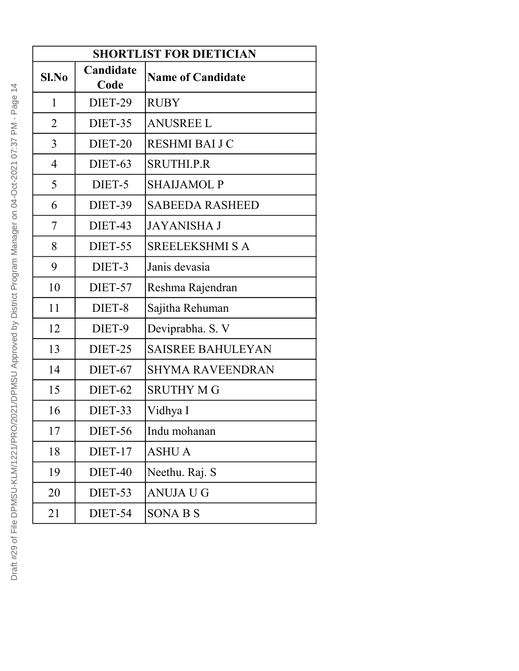| <b>SHORTLIST FOR DIETICIAN</b> |                   |                          |  |
|--------------------------------|-------------------|--------------------------|--|
| $Sl$ . No                      | Candidate<br>Code | <b>Name of Candidate</b> |  |
| 1                              | DIET-29           | <b>RUBY</b>              |  |
| $\overline{2}$                 | DIET-35           | <b>ANUSREE L</b>         |  |
| 3                              | DIET-20           | RESHMI BAI J C           |  |
| $\overline{4}$                 | DIET-63           | <b>SRUTHI.P.R</b>        |  |
| 5                              | DIET-5            | <b>SHAIJAMOL P</b>       |  |
| 6                              | DIET-39           | <b>SABEEDA RASHEED</b>   |  |
| 7                              | DIET-43           | <b>JAYANISHA J</b>       |  |
| 8                              | DIET-55           | <b>SREELEKSHMI S A</b>   |  |
| 9                              | DIET-3            | Janis devasia            |  |
| 10                             | DIET-57           | Reshma Rajendran         |  |
| 11                             | DIET-8            | Sajitha Rehuman          |  |
| 12                             | DIET-9            | Deviprabha. S. V         |  |
| 13                             | DIET-25           | <b>SAISREE BAHULEYAN</b> |  |
| 14                             | DIET-67           | <b>SHYMA RAVEENDRAN</b>  |  |
| 15                             | DIET-62           | <b>SRUTHY MG</b>         |  |
| 16                             | DIET-33           | Vidhya I                 |  |
| 17                             | <b>DIET-56</b>    | Indu mohanan             |  |
| 18                             | DIET-17           | <b>ASHU A</b>            |  |
| 19                             | DIET-40           | Neethu. Raj. S           |  |
| 20                             | DIET-53           | ANUJA U G                |  |
| 21                             | DIET-54           | <b>SONABS</b>            |  |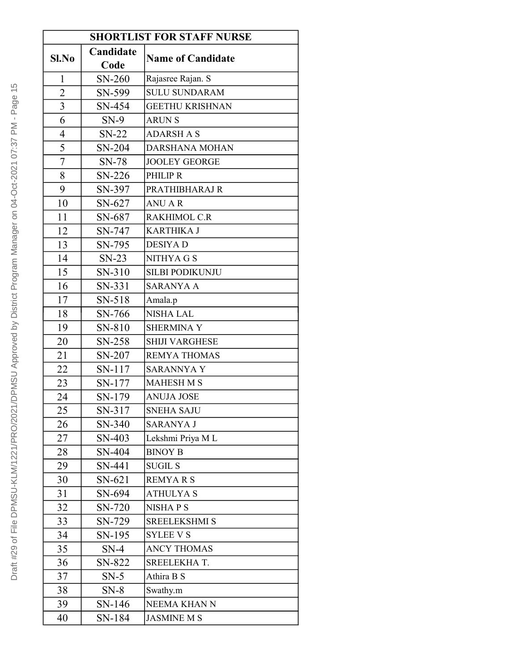| <b>SHORTLIST FOR STAFF NURSE</b> |           |                          |
|----------------------------------|-----------|--------------------------|
| Sl.No                            | Candidate |                          |
|                                  | Code      | <b>Name of Candidate</b> |
| 1                                | SN-260    | Rajasree Rajan. S        |
| $\overline{2}$                   | SN-599    | <b>SULU SUNDARAM</b>     |
| $\overline{3}$                   | SN-454    | <b>GEETHU KRISHNAN</b>   |
| 6                                | $SN-9$    | <b>ARUN S</b>            |
| $\overline{\mathcal{A}}$         | $SN-22$   | <b>ADARSH A S</b>        |
| 5                                | SN-204    | DARSHANA MOHAN           |
| $\overline{7}$                   | $SN-78$   | <b>JOOLEY GEORGE</b>     |
| 8                                | SN-226    | PHILIP R                 |
| 9                                | SN-397    | PRATHIBHARAJ R           |
| 10                               | SN-627    | <b>ANU AR</b>            |
| 11                               | SN-687    | <b>RAKHIMOL C.R</b>      |
| 12                               | SN-747    | <b>KARTHIKA J</b>        |
| 13                               | SN-795    | <b>DESIYAD</b>           |
| 14                               | $SN-23$   | NITHYA G S               |
| 15                               | SN-310    | <b>SILBI PODIKUNJU</b>   |
| 16                               | SN-331    | <b>SARANYA A</b>         |
| 17                               | SN-518    | Amala.p                  |
| 18                               | SN-766    | <b>NISHA LAL</b>         |
| 19                               | SN-810    | <b>SHERMINA Y</b>        |
| 20                               | SN-258    | <b>SHIJI VARGHESE</b>    |
| 21                               | SN-207    | <b>REMYA THOMAS</b>      |
| 22                               | SN-117    | <b>SARANNYA Y</b>        |
| 23                               | SN-177    | <b>MAHESH M S</b>        |
| 24                               | SN-179    | <b>ANUJA JOSE</b>        |
| 25                               | SN-317    | SNEHA SAJU               |
| 26                               | SN-340    | <b>SARANYA J</b>         |
| 27                               | SN-403    | Lekshmi Priya ML         |
| 28                               | SN-404    | <b>BINOY B</b>           |
| 29                               | SN-441    | <b>SUGIL S</b>           |
| 30                               | SN-621    | <b>REMYARS</b>           |
| 31                               | SN-694    | <b>ATHULYAS</b>          |
| 32                               | SN-720    | <b>NISHAPS</b>           |
| 33                               | SN-729    | <b>SREELEKSHMI S</b>     |
| 34                               | SN-195    | <b>SYLEE V S</b>         |
| 35                               | $SN-4$    | <b>ANCY THOMAS</b>       |
| 36                               | SN-822    | SREELEKHAT.              |
| 37                               | $SN-5$    | Athira B S               |
| 38                               | $SN-8$    | Swathy.m                 |
| 39                               | $SN-146$  | NEEMA KHAN N             |
| 40                               | SN-184    | <b>JASMINE M S</b>       |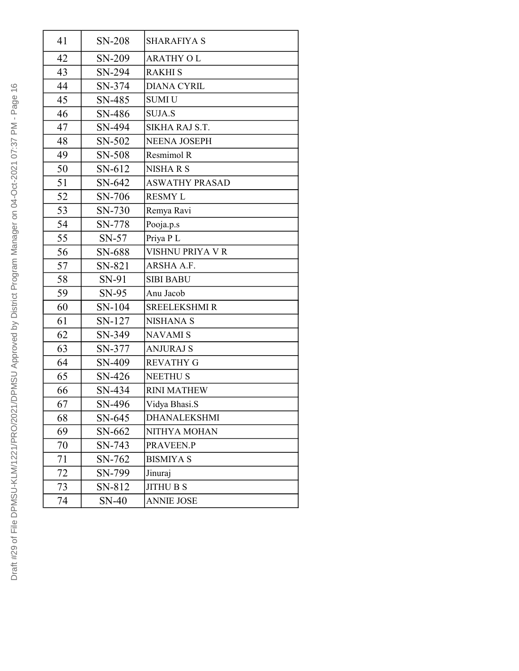| 41 | SN-208   | <b>SHARAFIYA S</b>    |
|----|----------|-----------------------|
| 42 | SN-209   | <b>ARATHY OL</b>      |
| 43 | SN-294   | <b>RAKHIS</b>         |
| 44 | SN-374   | <b>DIANA CYRIL</b>    |
| 45 | SN-485   | <b>SUMIU</b>          |
| 46 | SN-486   | <b>SUJA.S</b>         |
| 47 | SN-494   | SIKHA RAJ S.T.        |
| 48 | SN-502   | <b>NEENA JOSEPH</b>   |
| 49 | SN-508   | Resmimol R            |
| 50 | SN-612   | <b>NISHARS</b>        |
| 51 | $SN-642$ | <b>ASWATHY PRASAD</b> |
| 52 | SN-706   | <b>RESMY L</b>        |
| 53 | SN-730   | Remya Ravi            |
| 54 | SN-778   | Pooja.p.s             |
| 55 | $SN-57$  | Priya PL              |
| 56 | SN-688   | VISHNU PRIYA V R      |
| 57 | SN-821   | ARSHA A.F.            |
| 58 | SN-91    | <b>SIBI BABU</b>      |
| 59 | $SN-95$  | Anu Jacob             |
| 60 | SN-104   | <b>SREELEKSHMIR</b>   |
| 61 | SN-127   | <b>NISHANA S</b>      |
| 62 | SN-349   | <b>NAVAMIS</b>        |
| 63 | SN-377   | <b>ANJURAJ S</b>      |
| 64 | SN-409   | <b>REVATHY G</b>      |
| 65 | SN-426   | <b>NEETHUS</b>        |
| 66 | SN-434   | <b>RINI MATHEW</b>    |
| 67 | SN-496   | Vidya Bhasi.S         |
| 68 | SN-645   | DHANALEKSHMI          |
| 69 | SN-662   | NITHYA MOHAN          |
| 70 | SN-743   | PRAVEEN.P             |
| 71 | SN-762   | <b>BISMIYA S</b>      |
| 72 | SN-799   | Jinuraj               |
| 73 | SN-812   | <b>JITHU B S</b>      |
| 74 | SN-40    | <b>ANNIE JOSE</b>     |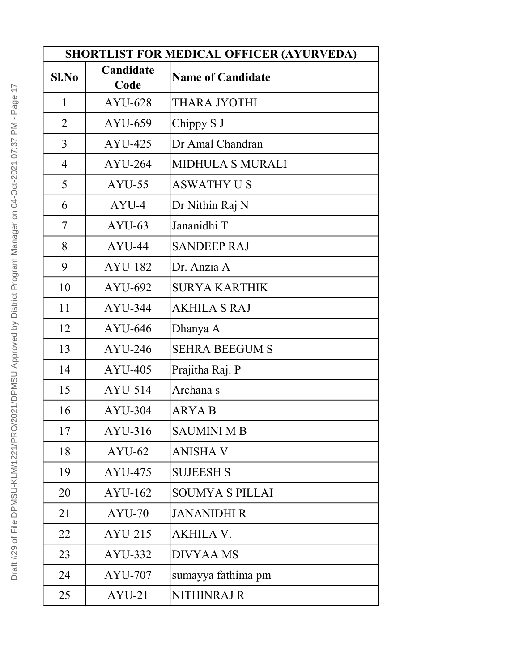| <b>SHORTLIST FOR MEDICAL OFFICER (AYURVEDA)</b> |                   |                          |
|-------------------------------------------------|-------------------|--------------------------|
| $SL$ No                                         | Candidate<br>Code | <b>Name of Candidate</b> |
| 1                                               | AYU-628           | THARA JYOTHI             |
| $\overline{2}$                                  | AYU-659           | Chippy S J               |
| 3                                               | AYU-425           | Dr Amal Chandran         |
| $\overline{4}$                                  | <b>AYU-264</b>    | <b>MIDHULA S MURALI</b>  |
| 5                                               | $AYU-55$          | <b>ASWATHY US</b>        |
| 6                                               | AYU-4             | Dr Nithin Raj N          |
| 7                                               | $AYU-63$          | Jananidhi T              |
| 8                                               | AYU-44            | <b>SANDEEP RAJ</b>       |
| 9                                               | AYU-182           | Dr. Anzia A              |
| 10                                              | AYU-692           | <b>SURYA KARTHIK</b>     |
| 11                                              | $AYU-344$         | <b>AKHILA S RAJ</b>      |
| 12                                              | AYU-646           | Dhanya A                 |
| 13                                              | $AYU-246$         | <b>SEHRA BEEGUM S</b>    |
| 14                                              | $AYU-405$         | Prajitha Raj. P          |
| 15                                              | AYU-514           | Archana s                |
| 16                                              | $AYU-304$         | <b>ARYA B</b>            |
| 17                                              | AYU-316           | <b>SAUMINI M B</b>       |
| 18                                              | $AYU-62$          | <b>ANISHA V</b>          |
| 19                                              | AYU-475           | <b>SUJEESH S</b>         |
| 20                                              | AYU-162           | <b>SOUMYA S PILLAI</b>   |
| 21                                              | $AYU-70$          | <b>JANANIDHI R</b>       |
| 22                                              | $AYU-215$         | <b>AKHILA V.</b>         |
| 23                                              | AYU-332           | <b>DIVYAA MS</b>         |
| 24                                              | AYU-707           | sumayya fathima pm       |
| 25                                              | $AYU-21$          | NITHINRAJ R              |